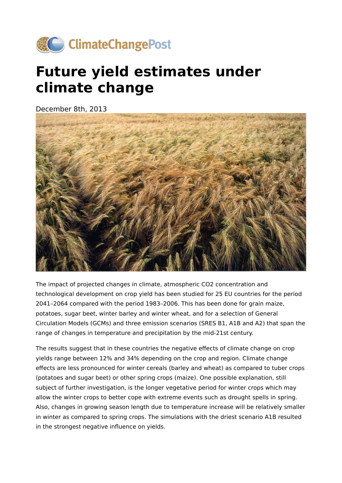

## **Future yield estimates under climate change**

December 8th, 2013



The impact of projected changes in climate, atmospheric CO2 concentration and technological development on crop yield has been studied for 25 EU countries for the period 2041–2064 compared with the period 1983–2006. This has been done for grain maize, potatoes, sugar beet, winter barley and winter wheat, and for a selection of General Circulation Models (GCMs) and three emission scenarios (SRES B1, A1B and A2) that span the range of changes in temperature and precipitation by the mid-21st century.

The results suggest that in these countries the negative effects of climate change on crop yields range between 12% and 34% depending on the crop and region. Climate change effects are less pronounced for winter cereals (barley and wheat) as compared to tuber crops (potatoes and sugar beet) or other spring crops (maize). One possible explanation, still subject of further investigation, is the longer vegetative period for winter crops which may allow the winter crops to better cope with extreme events such as drought spells in spring. Also, changes in growing season length due to temperature increase will be relatively smaller in winter as compared to spring crops. The simulations with the driest scenario A1B resulted in the strongest negative influence on yields.